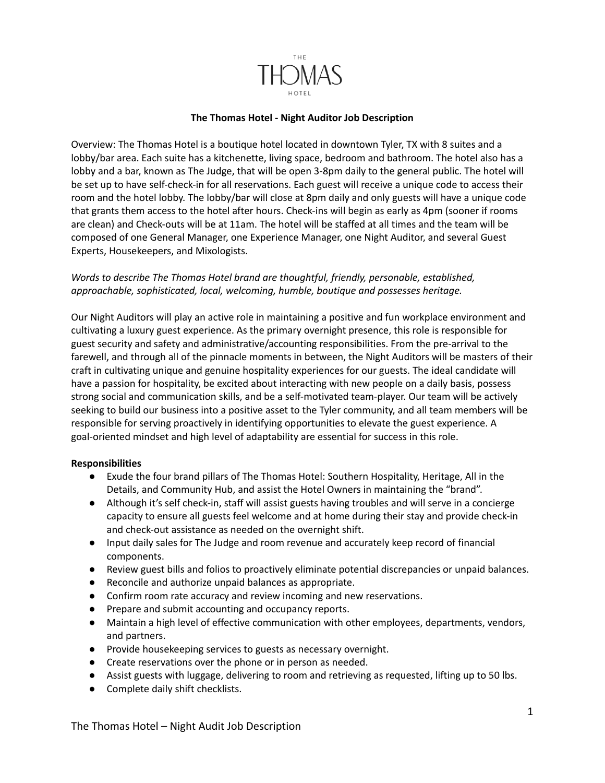

## **The Thomas Hotel - Night Auditor Job Description**

Overview: The Thomas Hotel is a boutique hotel located in downtown Tyler, TX with 8 suites and a lobby/bar area. Each suite has a kitchenette, living space, bedroom and bathroom. The hotel also has a lobby and a bar, known as The Judge, that will be open 3-8pm daily to the general public. The hotel will be set up to have self-check-in for all reservations. Each guest will receive a unique code to access their room and the hotel lobby. The lobby/bar will close at 8pm daily and only guests will have a unique code that grants them access to the hotel after hours. Check-ins will begin as early as 4pm (sooner if rooms are clean) and Check-outs will be at 11am. The hotel will be staffed at all times and the team will be composed of one General Manager, one Experience Manager, one Night Auditor, and several Guest Experts, Housekeepers, and Mixologists.

## *Words to describe The Thomas Hotel brand are thoughtful, friendly, personable, established, approachable, sophisticated, local, welcoming, humble, boutique and possesses heritage.*

Our Night Auditors will play an active role in maintaining a positive and fun workplace environment and cultivating a luxury guest experience. As the primary overnight presence, this role is responsible for guest security and safety and administrative/accounting responsibilities. From the pre-arrival to the farewell, and through all of the pinnacle moments in between, the Night Auditors will be masters of their craft in cultivating unique and genuine hospitality experiences for our guests. The ideal candidate will have a passion for hospitality, be excited about interacting with new people on a daily basis, possess strong social and communication skills, and be a self-motivated team-player. Our team will be actively seeking to build our business into a positive asset to the Tyler community, and all team members will be responsible for serving proactively in identifying opportunities to elevate the guest experience. A goal-oriented mindset and high level of adaptability are essential for success in this role.

## **Responsibilities**

- Exude the four brand pillars of The Thomas Hotel: Southern Hospitality, Heritage, All in the Details, and Community Hub, and assist the Hotel Owners in maintaining the "brand".
- Although it's self check-in, staff will assist guests having troubles and will serve in a concierge capacity to ensure all guests feel welcome and at home during their stay and provide check-in and check-out assistance as needed on the overnight shift.
- Input daily sales for The Judge and room revenue and accurately keep record of financial components.
- Review guest bills and folios to proactively eliminate potential discrepancies or unpaid balances.
- Reconcile and authorize unpaid balances as appropriate.
- Confirm room rate accuracy and review incoming and new reservations.
- Prepare and submit accounting and occupancy reports.
- Maintain a high level of effective communication with other employees, departments, vendors, and partners.
- Provide housekeeping services to guests as necessary overnight.
- Create reservations over the phone or in person as needed.
- Assist guests with luggage, delivering to room and retrieving as requested, lifting up to 50 lbs.
- Complete daily shift checklists.

The Thomas Hotel – Night Audit Job Description